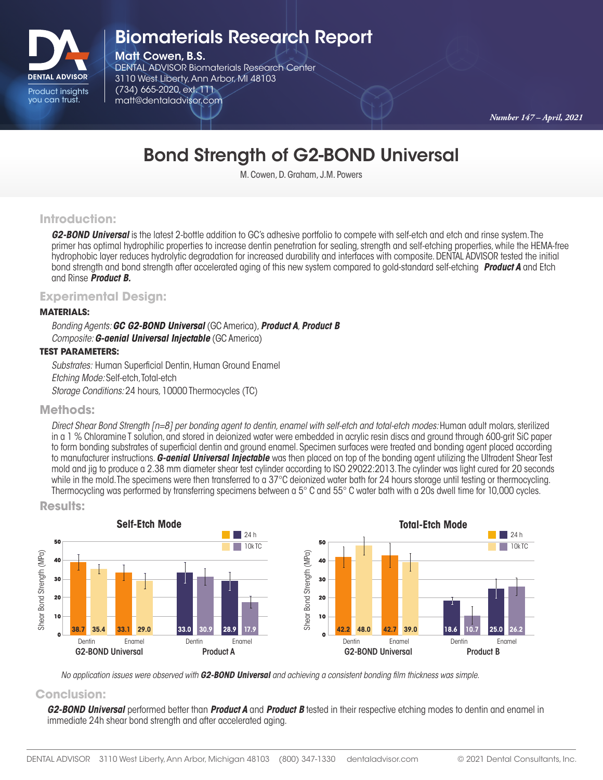

## Biomaterials Research Report

Matt Cowen, B.S.

DENTAL ADVISOR Biomaterials Research Center 3110 West Liberty, Ann Arbor, MI 48103 (734) 665-2020, ext. 111 matt@dentaladvisor.com

*Number 147 – April, 2021*

# Bond Strength of G2-BOND Universal

M. Cowen, D. Graham, J.M. Powers

### **Introduction:**

*G2-BOND Universal* is the latest 2-bottle addition to GC's adhesive portfolio to compete with self-etch and etch and rinse system. The primer has optimal hydrophilic properties to increase dentin penetration for sealing, strength and self-etching properties, while the HEMA-free hydrophobic layer reduces hydrolytic degradation for increased durability and interfaces with composite. DENTAL ADVISOR tested the initial bond strength and bond strength after accelerated aging of this new system compared to gold-standard self-etching *Product A* and Etch and Rinse *Product B.*

## **Experimental Design:**

#### **MATERIALS:**

*Bonding Agents: GC G2-BOND Universal* (GC America),*Product A*, *Product B Composite: G-aenial Universal Injectable* (GC America)

#### **TEST PARAMETERS:**

*Substrates:* Human Superficial Dentin, Human Ground Enamel *Etching Mode:* Self-etch, Total-etch *Storage Conditions:* 24 hours, 10000 Thermocycles (TC)

#### **Methods:**

*Direct Shear Bond Strength [n=8] per bonding agent to dentin, enamel with self-etch and total-etch modes: Human adult molars, sterilized* in a 1 % Chloramine T solution, and stored in deionized water were embedded in acrylic resin discs and ground through 600-grit SiC paper to form bonding substrates of superficial dentin and ground enamel. Specimen surfaces were treated and bonding agent placed according to manufacturer instructions. *G-aenial Universal Injectable* was then placed on top of the bonding agent utilizing the Ultradent Shear Test mold and jig to produce a 2.38 mm diameter shear test cylinder according to ISO 29022:2013. The cylinder was light cured for 20 seconds while in the mold. The specimens were then transferred to a 37°C deionized water bath for 24 hours storage until testing or thermocycling. Thermocycling was performed by transferring specimens between a 5° C and 55° C water bath with a 20s dwell time for 10,000 cycles.



**Results:**

*No application issues were observed with G2-BOND Universal and achieving a consistent bonding film thickness was simple.* 

### **Conclusion:**

*G2-BOND Universal* performed better than *Product A* and *Product B* tested in their respective etching modes to dentin and enamel in immediate 24h shear bond strength and after accelerated aging.